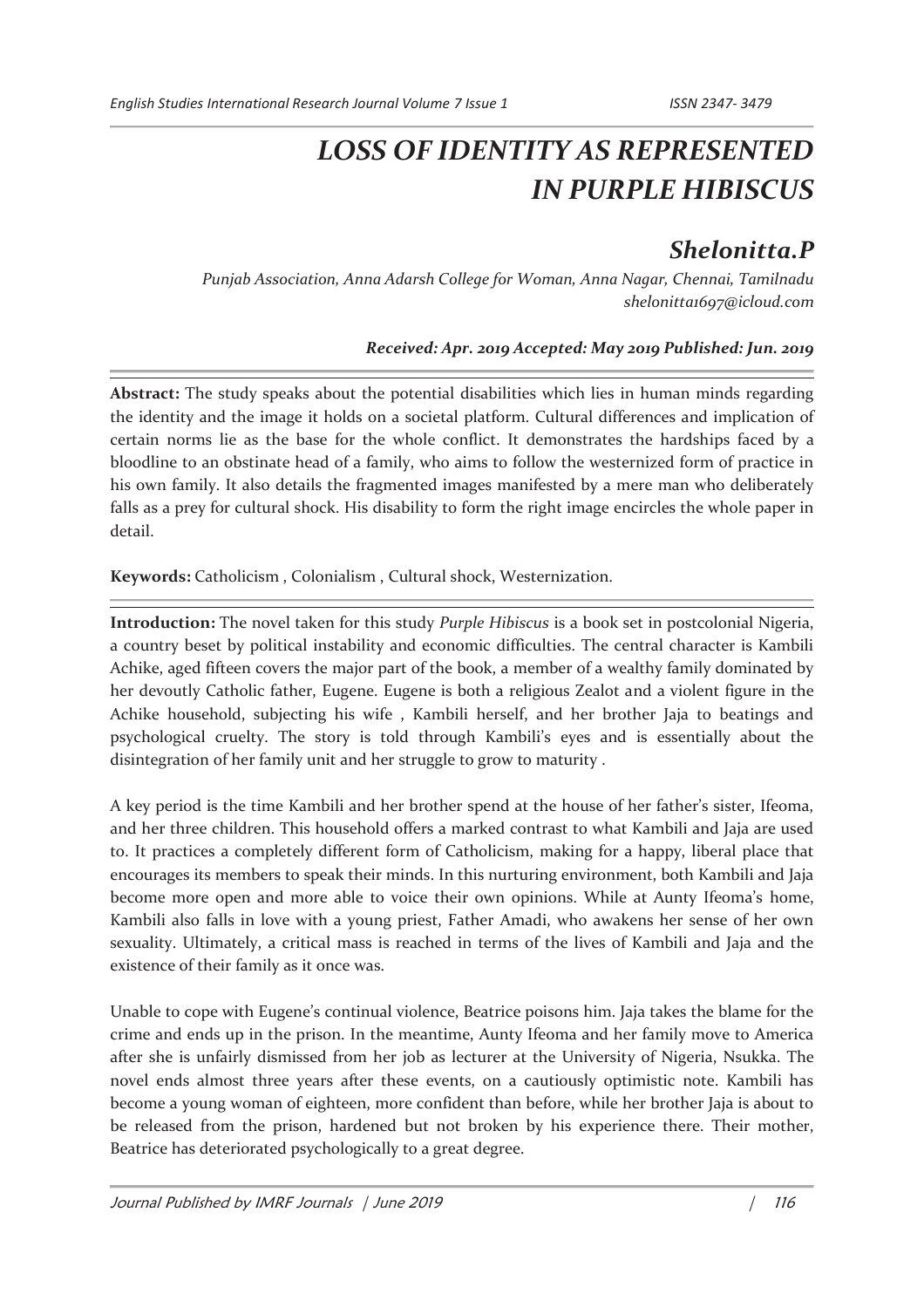## *LOSS OF IDENTITY AS REPRESENTED IN PURPLE HIBISCUS*

## *Shelonitta.P*

*Punjab Association, Anna Adarsh College for Woman, Anna Nagar, Chennai, Tamilnadu shelonitta1697@icloud.com* 

*Received: Apr. 2019 Accepted: May 2019 Published: Jun. 2019*

**Abstract:** The study speaks about the potential disabilities which lies in human minds regarding the identity and the image it holds on a societal platform. Cultural differences and implication of certain norms lie as the base for the whole conflict. It demonstrates the hardships faced by a bloodline to an obstinate head of a family, who aims to follow the westernized form of practice in his own family. It also details the fragmented images manifested by a mere man who deliberately falls as a prey for cultural shock. His disability to form the right image encircles the whole paper in detail.

**Keywords:** Catholicism , Colonialism , Cultural shock, Westernization.

**Introduction:** The novel taken for this study *Purple Hibiscus* is a book set in postcolonial Nigeria, a country beset by political instability and economic difficulties. The central character is Kambili Achike, aged fifteen covers the major part of the book, a member of a wealthy family dominated by her devoutly Catholic father, Eugene. Eugene is both a religious Zealot and a violent figure in the Achike household, subjecting his wife , Kambili herself, and her brother Jaja to beatings and psychological cruelty. The story is told through Kambili's eyes and is essentially about the disintegration of her family unit and her struggle to grow to maturity .

A key period is the time Kambili and her brother spend at the house of her father's sister, Ifeoma, and her three children. This household offers a marked contrast to what Kambili and Jaja are used to. It practices a completely different form of Catholicism, making for a happy, liberal place that encourages its members to speak their minds. In this nurturing environment, both Kambili and Jaja become more open and more able to voice their own opinions. While at Aunty Ifeoma's home, Kambili also falls in love with a young priest, Father Amadi, who awakens her sense of her own sexuality. Ultimately, a critical mass is reached in terms of the lives of Kambili and Jaja and the existence of their family as it once was.

Unable to cope with Eugene's continual violence, Beatrice poisons him. Jaja takes the blame for the crime and ends up in the prison. In the meantime, Aunty Ifeoma and her family move to America after she is unfairly dismissed from her job as lecturer at the University of Nigeria, Nsukka. The novel ends almost three years after these events, on a cautiously optimistic note. Kambili has become a young woman of eighteen, more confident than before, while her brother Jaja is about to be released from the prison, hardened but not broken by his experience there. Their mother, Beatrice has deteriorated psychologically to a great degree.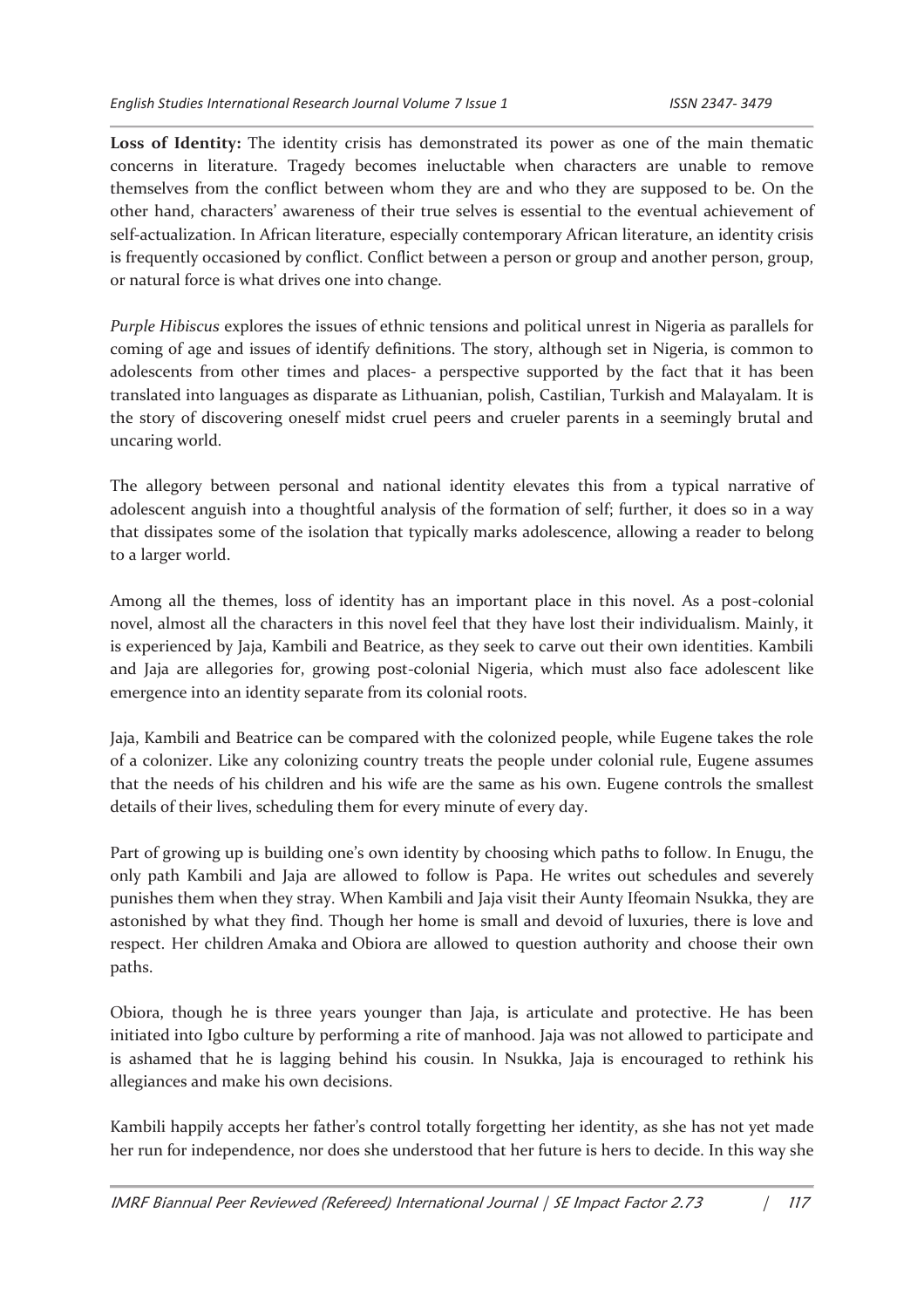**Loss of Identity:** The identity crisis has demonstrated its power as one of the main thematic concerns in literature. Tragedy becomes ineluctable when characters are unable to remove themselves from the conflict between whom they are and who they are supposed to be. On the other hand, characters' awareness of their true selves is essential to the eventual achievement of self-actualization. In African literature, especially contemporary African literature, an identity crisis is frequently occasioned by conflict. Conflict between a person or group and another person, group, or natural force is what drives one into change.

*Purple Hibiscus* explores the issues of ethnic tensions and political unrest in Nigeria as parallels for coming of age and issues of identify definitions. The story, although set in Nigeria, is common to adolescents from other times and places- a perspective supported by the fact that it has been translated into languages as disparate as Lithuanian, polish, Castilian, Turkish and Malayalam. It is the story of discovering oneself midst cruel peers and crueler parents in a seemingly brutal and uncaring world.

The allegory between personal and national identity elevates this from a typical narrative of adolescent anguish into a thoughtful analysis of the formation of self; further, it does so in a way that dissipates some of the isolation that typically marks adolescence, allowing a reader to belong to a larger world.

Among all the themes, loss of identity has an important place in this novel. As a post-colonial novel, almost all the characters in this novel feel that they have lost their individualism. Mainly, it is experienced by Jaja, Kambili and Beatrice, as they seek to carve out their own identities. Kambili and Jaja are allegories for, growing post-colonial Nigeria, which must also face adolescent like emergence into an identity separate from its colonial roots.

Jaja, Kambili and Beatrice can be compared with the colonized people, while Eugene takes the role of a colonizer. Like any colonizing country treats the people under colonial rule, Eugene assumes that the needs of his children and his wife are the same as his own. Eugene controls the smallest details of their lives, scheduling them for every minute of every day.

Part of growing up is building one's own identity by choosing which paths to follow. In Enugu, the only path Kambili and Jaja are allowed to follow is Papa. He writes out schedules and severely punishes them when they stray. When Kambili and Jaja visit their Aunty Ifeomain Nsukka, they are astonished by what they find. Though her home is small and devoid of luxuries, there is love and respect. Her children Amaka and Obiora are allowed to question authority and choose their own paths.

Obiora, though he is three years younger than Jaja, is articulate and protective. He has been initiated into Igbo culture by performing a rite of manhood. Jaja was not allowed to participate and is ashamed that he is lagging behind his cousin. In Nsukka, Jaja is encouraged to rethink his allegiances and make his own decisions.

Kambili happily accepts her father's control totally forgetting her identity, as she has not yet made her run for independence, nor does she understood that her future is hers to decide. In this way she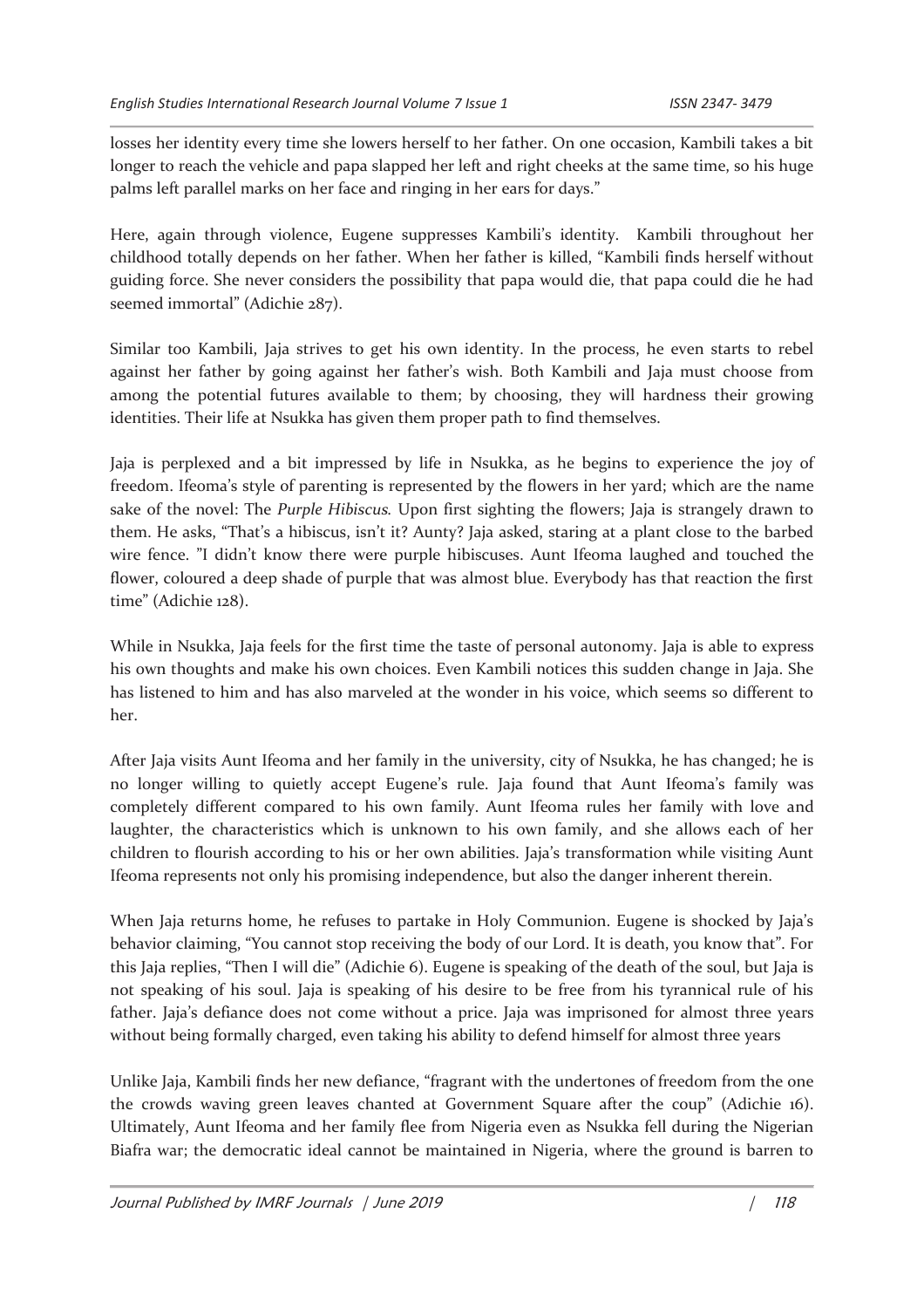losses her identity every time she lowers herself to her father. On one occasion, Kambili takes a bit longer to reach the vehicle and papa slapped her left and right cheeks at the same time, so his huge palms left parallel marks on her face and ringing in her ears for days."

Here, again through violence, Eugene suppresses Kambili's identity. Kambili throughout her childhood totally depends on her father. When her father is killed, "Kambili finds herself without guiding force. She never considers the possibility that papa would die, that papa could die he had seemed immortal" (Adichie 287).

Similar too Kambili, Jaja strives to get his own identity. In the process, he even starts to rebel against her father by going against her father's wish. Both Kambili and Jaja must choose from among the potential futures available to them; by choosing, they will hardness their growing identities. Their life at Nsukka has given them proper path to find themselves.

Jaja is perplexed and a bit impressed by life in Nsukka, as he begins to experience the joy of freedom. Ifeoma's style of parenting is represented by the flowers in her yard; which are the name sake of the novel: The *Purple Hibiscus.* Upon first sighting the flowers; Jaja is strangely drawn to them. He asks, "That's a hibiscus, isn't it? Aunty? Jaja asked, staring at a plant close to the barbed wire fence. "I didn't know there were purple hibiscuses. Aunt Ifeoma laughed and touched the flower, coloured a deep shade of purple that was almost blue. Everybody has that reaction the first time" (Adichie 128).

While in Nsukka, Jaja feels for the first time the taste of personal autonomy. Jaja is able to express his own thoughts and make his own choices. Even Kambili notices this sudden change in Jaja. She has listened to him and has also marveled at the wonder in his voice, which seems so different to her.

After Jaja visits Aunt Ifeoma and her family in the university, city of Nsukka, he has changed; he is no longer willing to quietly accept Eugene's rule. Jaja found that Aunt Ifeoma's family was completely different compared to his own family. Aunt Ifeoma rules her family with love and laughter, the characteristics which is unknown to his own family, and she allows each of her children to flourish according to his or her own abilities. Jaja's transformation while visiting Aunt Ifeoma represents not only his promising independence, but also the danger inherent therein.

When Jaja returns home, he refuses to partake in Holy Communion. Eugene is shocked by Jaja's behavior claiming, "You cannot stop receiving the body of our Lord. It is death, you know that". For this Jaja replies, "Then I will die" (Adichie 6). Eugene is speaking of the death of the soul, but Jaja is not speaking of his soul. Jaja is speaking of his desire to be free from his tyrannical rule of his father. Jaja's defiance does not come without a price. Jaja was imprisoned for almost three years without being formally charged, even taking his ability to defend himself for almost three years

Unlike Jaja, Kambili finds her new defiance, "fragrant with the undertones of freedom from the one the crowds waving green leaves chanted at Government Square after the coup" (Adichie 16). Ultimately, Aunt Ifeoma and her family flee from Nigeria even as Nsukka fell during the Nigerian Biafra war; the democratic ideal cannot be maintained in Nigeria, where the ground is barren to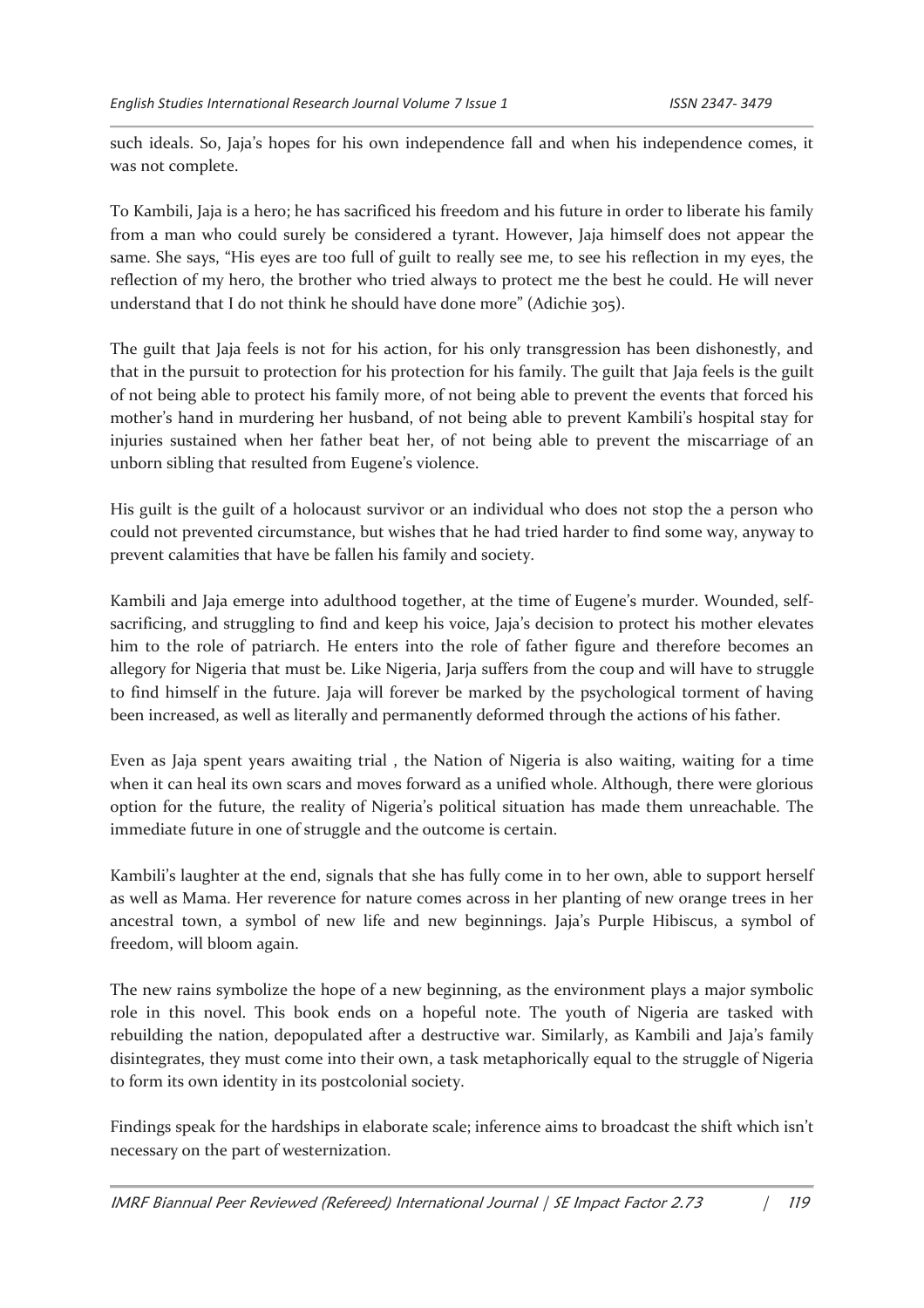such ideals. So, Jaja's hopes for his own independence fall and when his independence comes, it was not complete.

To Kambili, Jaja is a hero; he has sacrificed his freedom and his future in order to liberate his family from a man who could surely be considered a tyrant. However, Jaja himself does not appear the same. She says, "His eyes are too full of guilt to really see me, to see his reflection in my eyes, the reflection of my hero, the brother who tried always to protect me the best he could. He will never understand that I do not think he should have done more" (Adichie 305).

The guilt that Jaja feels is not for his action, for his only transgression has been dishonestly, and that in the pursuit to protection for his protection for his family. The guilt that Jaja feels is the guilt of not being able to protect his family more, of not being able to prevent the events that forced his mother's hand in murdering her husband, of not being able to prevent Kambili's hospital stay for injuries sustained when her father beat her, of not being able to prevent the miscarriage of an unborn sibling that resulted from Eugene's violence.

His guilt is the guilt of a holocaust survivor or an individual who does not stop the a person who could not prevented circumstance, but wishes that he had tried harder to find some way, anyway to prevent calamities that have be fallen his family and society.

Kambili and Jaja emerge into adulthood together, at the time of Eugene's murder. Wounded, selfsacrificing, and struggling to find and keep his voice, Jaja's decision to protect his mother elevates him to the role of patriarch. He enters into the role of father figure and therefore becomes an allegory for Nigeria that must be. Like Nigeria, Jarja suffers from the coup and will have to struggle to find himself in the future. Jaja will forever be marked by the psychological torment of having been increased, as well as literally and permanently deformed through the actions of his father.

Even as Jaja spent years awaiting trial , the Nation of Nigeria is also waiting, waiting for a time when it can heal its own scars and moves forward as a unified whole. Although, there were glorious option for the future, the reality of Nigeria's political situation has made them unreachable. The immediate future in one of struggle and the outcome is certain.

Kambili's laughter at the end, signals that she has fully come in to her own, able to support herself as well as Mama. Her reverence for nature comes across in her planting of new orange trees in her ancestral town, a symbol of new life and new beginnings. Jaja's Purple Hibiscus, a symbol of freedom, will bloom again.

The new rains symbolize the hope of a new beginning, as the environment plays a major symbolic role in this novel. This book ends on a hopeful note. The youth of Nigeria are tasked with rebuilding the nation, depopulated after a destructive war. Similarly, as Kambili and Jaja's family disintegrates, they must come into their own, a task metaphorically equal to the struggle of Nigeria to form its own identity in its postcolonial society.

Findings speak for the hardships in elaborate scale; inference aims to broadcast the shift which isn't necessary on the part of westernization.